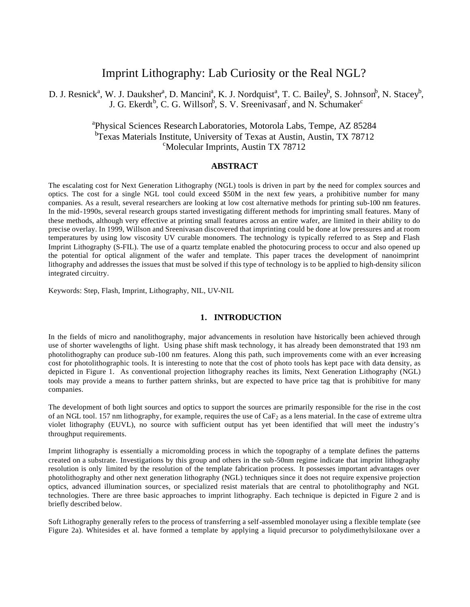# Imprint Lithography: Lab Curiosity or the Real NGL?

D. J. Resnick<sup>a</sup>, W. J. Dauksher<sup>a</sup>, D. Mancini<sup>a</sup>, K. J. Nordquist<sup>a</sup>, T. C. Bailey<sup>b</sup>, S. Johnson<sup>b</sup>, N. Stacey<sup>b</sup>, J. G. Ekerdt<sup>b</sup>, C. G. Willson<sup>b</sup>, S. V. Sreenivasan<sup>c</sup>, and N. Schumaker<sup>c</sup>

## <sup>a</sup>Physical Sciences Research Laboratories, Motorola Labs, Tempe, AZ 85284 <sup>b</sup>Texas Materials Institute, University of Texas at Austin, Austin, TX 78712 <sup>c</sup>Molecular Imprints, Austin TX 78712

## **ABSTRACT**

The escalating cost for Next Generation Lithography (NGL) tools is driven in part by the need for complex sources and optics. The cost for a single NGL tool could exceed \$50M in the next few years, a prohibitive number for many companies. As a result, several researchers are looking at low cost alternative methods for printing sub-100 nm features. In the mid-1990s, several research groups started investigating different methods for imprinting small features. Many of these methods, although very effective at printing small features across an entire wafer, are limited in their ability to do precise overlay. In 1999, Willson and Sreenivasan discovered that imprinting could be done at low pressures and at room temperatures by using low viscosity UV curable monomers. The technology is typically referred to as Step and Flash Imprint Lithography (S-FIL). The use of a quartz template enabled the photocuring process to occur and also opened up the potential for optical alignment of the wafer and template. This paper traces the development of nanoimprint lithography and addresses the issues that must be solved if this type of technology is to be applied to high-density silicon integrated circuitry.

Keywords: Step, Flash, Imprint, Lithography, NIL, UV-NIL

#### **1. INTRODUCTION**

In the fields of micro and nanolithography, major advancements in resolution have historically been achieved through use of shorter wavelengths of light. Using phase shift mask technology, it has already been demonstrated that 193 nm photolithography can produce sub-100 nm features. Along this path, such improvements come with an ever increasing cost for photolithographic tools. It is interesting to note that the cost of photo tools has kept pace with data density, as depicted in Figure 1. As conventional projection lithography reaches its limits, Next Generation Lithography (NGL) tools may provide a means to further pattern shrinks, but are expected to have price tag that is prohibitive for many companies.

The development of both light sources and optics to support the sources are primarily responsible for the rise in the cost of an NGL tool. 157 nm lithography, for example, requires the use of  $CaF<sub>2</sub>$  as a lens material. In the case of extreme ultra violet lithography (EUVL), no source with sufficient output has yet been identified that will meet the industry's throughput requirements.

Imprint lithography is essentially a micromolding process in which the topography of a template defines the patterns created on a substrate. Investigations by this group and others in the sub-50nm regime indicate that imprint lithography resolution is only limited by the resolution of the template fabrication process. It possesses important advantages over photolithography and other next generation lithography (NGL) techniques since it does not require expensive projection optics, advanced illumination sources, or specialized resist materials that are central to photolithography and NGL technologies. There are three basic approaches to imprint lithography. Each technique is depicted in Figure 2 and is briefly described below.

Soft Lithography generally refers to the process of transferring a self-assembled monolayer using a flexible template (see Figure 2a). Whitesides et al. have formed a template by applying a liquid precursor to polydimethylsiloxane over a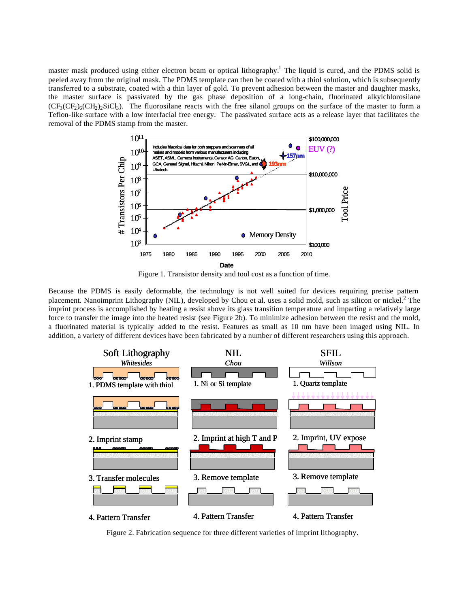master mask produced using either electron beam or optical lithography.<sup>1</sup> The liquid is cured, and the PDMS solid is peeled away from the original mask. The PDMS template can then be coated with a thiol solution, which is subsequently transferred to a substrate, coated with a thin layer of gold. To prevent adhesion between the master and daughter masks, the master surface is passivated by the gas phase deposition of a long-chain, fluorinated alkylchlorosilane  $(CF_3(CF_2)_6(CH_2)_2$ . The fluorosilane reacts with the free silanol groups on the surface of the master to form a Teflon-like surface with a low interfacial free energy. The passivated surface acts as a release layer that facilitates the removal of the PDMS stamp from the master.





Because the PDMS is easily deformable, the technology is not well suited for devices requiring precise pattern placement. Nanoimprint Lithography (NIL), developed by Chou et al. uses a solid mold, such as silicon or nickel.<sup>2</sup> The imprint process is accomplished by heating a resist above its glass transition temperature and imparting a relatively large force to transfer the image into the heated resist (see Figure 2b). To minimize adhesion between the resist and the mold, a fluorinated material is typically added to the resist. Features as small as 10 nm have been imaged using NIL. In addition, a variety of different devices have been fabricated by a number of different researchers using this approach.



Figure 2. Fabrication sequence for three different varieties of imprint lithography.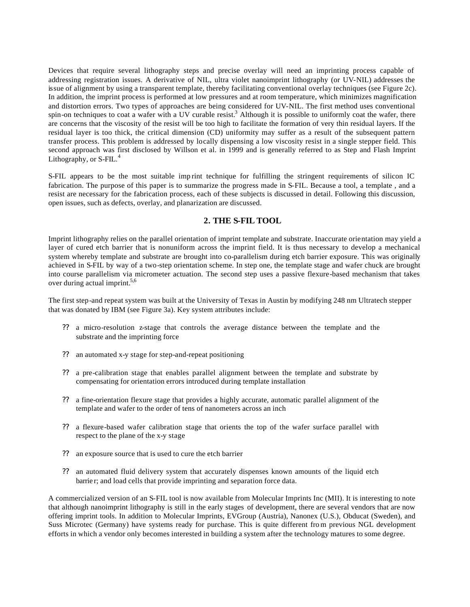Devices that require several lithography steps and precise overlay will need an imprinting process capable of addressing registration issues. A derivative of NIL, ultra violet nanoimprint lithography (or UV-NIL) addresses the issue of alignment by using a transparent template, thereby facilitating conventional overlay techniques (see Figure 2c). In addition, the imprint process is performed at low pressures and at room temperature, which minimizes magnification and distortion errors. Two types of approaches are being considered for UV-NIL. The first method uses conventional spin-on techniques to coat a wafer with a UV curable resist.<sup>3</sup> Although it is possible to uniformly coat the wafer, there are concerns that the viscosity of the resist will be too high to facilitate the formation of very thin residual layers. If the residual layer is too thick, the critical dimension (CD) uniformity may suffer as a result of the subsequent pattern transfer process. This problem is addressed by locally dispensing a low viscosity resist in a single stepper field. This second approach was first disclosed by Willson et al. in 1999 and is generally referred to as Step and Flash Imprint Lithography, or  $S$ -FIL.<sup>4</sup>

S-FIL appears to be the most suitable imp rint technique for fulfilling the stringent requirements of silicon IC fabrication. The purpose of this paper is to summarize the progress made in S-FIL. Because a tool, a template , and a resist are necessary for the fabrication process, each of these subjects is discussed in detail. Following this discussion, open issues, such as defects, overlay, and planarization are discussed.

## **2. THE S-FIL TOOL**

Imprint lithography relies on the parallel orientation of imprint template and substrate. Inaccurate orientation may yield a layer of cured etch barrier that is nonuniform across the imprint field. It is thus necessary to develop a mechanical system whereby template and substrate are brought into co-parallelism during etch barrier exposure. This was originally achieved in S-FIL by way of a two-step orientation scheme. In step one, the template stage and wafer chuck are brought into course parallelism via micrometer actuation. The second step uses a passive flexure-based mechanism that takes over during actual imprint.<sup>5,6</sup>

The first step-and repeat system was built at the University of Texas in Austin by modifying 248 nm Ultratech stepper that was donated by IBM (see Figure 3a). Key system attributes include:

- ?? a micro-resolution z-stage that controls the average distance between the template and the substrate and the imprinting force
- ?? an automated x-y stage for step-and-repeat positioning
- ?? a pre-calibration stage that enables parallel alignment between the template and substrate by compensating for orientation errors introduced during template installation
- ?? a fine-orientation flexure stage that provides a highly accurate, automatic parallel alignment of the template and wafer to the order of tens of nanometers across an inch
- ?? a flexure-based wafer calibration stage that orients the top of the wafer surface parallel with respect to the plane of the x-y stage
- ?? an exposure source that is used to cure the etch barrier
- ?? an automated fluid delivery system that accurately dispenses known amounts of the liquid etch barrie r; and load cells that provide imprinting and separation force data.

A commercialized version of an S-FIL tool is now available from Molecular Imprints Inc (MII). It is interesting to note that although nanoimprint lithography is still in the early stages of development, there are several vendors that are now offering imprint tools. In addition to Molecular Imprints, EVGroup (Austria), Nanonex (U.S.), Obducat (Sweden), and Suss Microtec (Germany) have systems ready for purchase. This is quite different fro m previous NGL development efforts in which a vendor only becomes interested in building a system after the technology matures to some degree.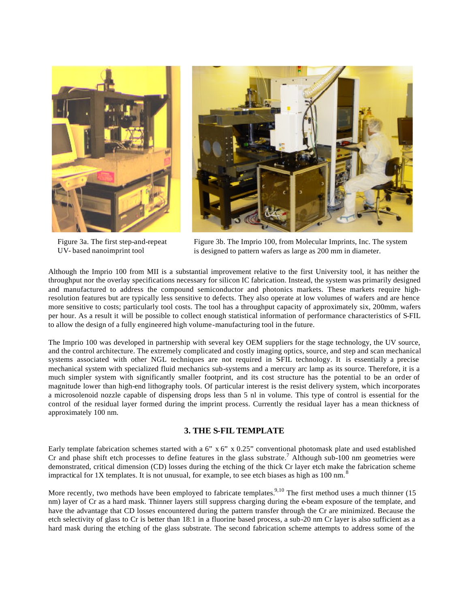

Figure 3a. The first step-and-repeat UV- based nanoimprint tool



Figure 3b. The Imprio 100, from Molecular Imprints, Inc. The system is designed to pattern wafers as large as 200 mm in diameter.

Although the Imprio 100 from MII is a substantial improvement relative to the first University tool, it has neither the throughput nor the overlay specifications necessary for silicon IC fabrication. Instead, the system was primarily designed and manufactured to address the compound semiconductor and photonics markets. These markets require highresolution features but are typically less sensitive to defects. They also operate at low volumes of wafers and are hence more sensitive to costs; particularly tool costs. The tool has a throughput capacity of approximately six, 200mm, wafers per hour. As a result it will be possible to collect enough statistical information of performance characteristics of S-FIL to allow the design of a fully engineered high volume-manufacturing tool in the future.

The Imprio 100 was developed in partnership with several key OEM suppliers for the stage technology, the UV source, and the control architecture. The extremely complicated and costly imaging optics, source, and step and scan mechanical systems associated with other NGL techniques are not required in SFIL technology. It is essentially a precise mechanical system with specialized fluid mechanics sub-systems and a mercury arc lamp as its source. Therefore, it is a much simpler system with significantly smaller footprint, and its cost structure has the potential to be an order of magnitude lower than high-end lithography tools. Of particular interest is the resist delivery system, which incorporates a microsolenoid nozzle capable of dispensing drops less than 5 nl in volume. This type of control is essential for the control of the residual layer formed during the imprint process. Currently the residual layer has a mean thickness of approximately 100 nm.

## **3. THE S-FIL TEMPLATE**

Early template fabrication schemes started with a 6"  $x$  6"  $x$  0.25" conventional photomask plate and used established Cr and phase shift etch processes to define features in the glass substrate.<sup>7</sup> Although sub-100 nm geometries were demonstrated, critical dimension (CD) losses during the etching of the thick Cr layer etch make the fabrication scheme impractical for 1X templates. It is not unusual, for example, to see etch biases as high as  $100 \text{ nm}$ .<sup>8</sup>

More recently, two methods have been employed to fabricate templates.<sup>9,10</sup> The first method uses a much thinner (15 nm) layer of Cr as a hard mask. Thinner layers still suppress charging during the e-beam exposure of the template, and have the advantage that CD losses encountered during the pattern transfer through the Cr are minimized. Because the etch selectivity of glass to Cr is better than 18:1 in a fluorine based process, a sub-20 nm Cr layer is also sufficient as a hard mask during the etching of the glass substrate. The second fabrication scheme attempts to address some of the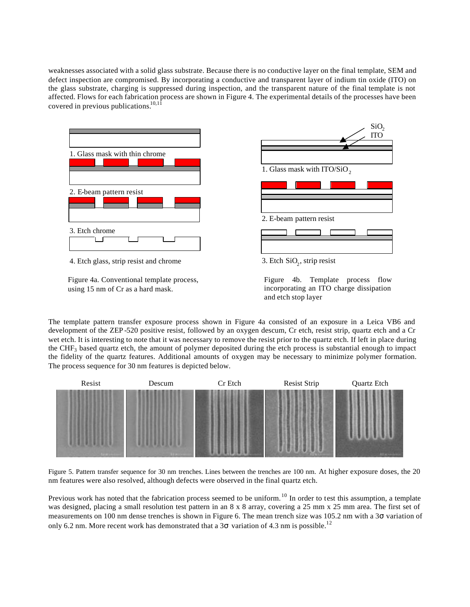weaknesses associated with a solid glass substrate. Because there is no conductive layer on the final template, SEM and defect inspection are compromised. By incorporating a conductive and transparent layer of indium tin oxide (ITO) on the glass substrate, charging is suppressed during inspection, and the transparent nature of the final template is not affected. Flows for each fabrication process are shown in Figure 4. The experimental details of the processes have been covered in previous publications. $10,11$ 



Figure 4a. Conventional template process, using 15 nm of Cr as a hard mask.

The template pattern transfer exposure process shown in Figure 4a consisted of an exposure in a Leica VB6 and development of the ZEP -520 positive resist, followed by an oxygen descum, Cr etch, resist strip, quartz etch and a Cr wet etch. It is interesting to note that it was necessary to remove the resist prior to the quartz etch. If left in place during the  $CHF<sub>3</sub>$  based quartz etch, the amount of polymer deposited during the etch process is substantial enough to impact the fidelity of the quartz features. Additional amounts of oxygen may be necessary to minimize polymer formation. The process sequence for 30 nm features is depicted below.



Figure 5. Pattern transfer sequence for 30 nm trenches. Lines between the trenches are 100 nm. At higher exposure doses, the 20 nm features were also resolved, although defects were observed in the final quartz etch.

Previous work has noted that the fabrication process seemed to be uniform.<sup>10</sup> In order to test this assumption, a template was designed, placing a small resolution test pattern in an 8 x 8 array, covering a 25 mm x 25 mm area. The first set of measurements on 100 nm dense trenches is shown in Figure 6. The mean trench size was 105.2 nm with a 3 variation of only 6.2 nm. More recent work has demonstrated that a 3 variation of 4.3 nm is possible.<sup>12</sup>

Figure 4b. Template process flow incorporating an ITO charge dissipation and etch stop layer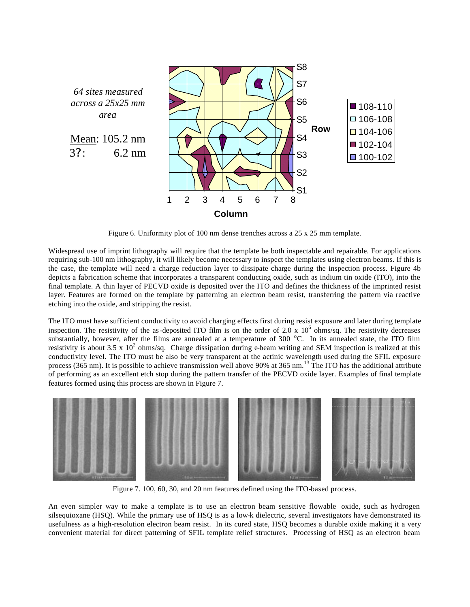

Figure 6. Uniformity plot of 100 nm dense trenches across a 25 x 25 mm template.

Widespread use of imprint lithography will require that the template be both inspectable and repairable. For applications requiring sub-100 nm lithography, it will likely become necessary to inspect the templates using electron beams. If this is the case, the template will need a charge reduction layer to dissipate charge during the inspection process. Figure 4b depicts a fabrication scheme that incorporates a transparent conducting oxide, such as indium tin oxide (ITO), into the final template. A thin layer of PECVD oxide is deposited over the ITO and defines the thickness of the imprinted resist layer. Features are formed on the template by patterning an electron beam resist, transferring the pattern via reactive etching into the oxide, and stripping the resist.

The ITO must have sufficient conductivity to avoid charging effects first during resist exposure and later during template inspection. The resistivity of the as-deposited ITO film is on the order of 2.0 x  $10^6$  ohms/sq. The resistivity decreases substantially, however, after the films are annealed at a temperature of  $300\degree C$ . In its annealed state, the ITO film resistivity is about 3.5 x  $10^2$  ohms/sq. Charge dissipation during e-beam writing and SEM inspection is realized at this conductivity level. The ITO must be also be very transparent at the actinic wavelength used during the SFIL exposure process (365 nm). It is possible to achieve transmission well above 90% at 365 nm.<sup>13</sup> The ITO has the additional attribute of performing as an excellent etch stop during the pattern transfer of the PECVD oxide layer. Examples of final template features formed using this process are shown in Figure 7.



Figure 7. 100, 60, 30, and 20 nm features defined using the ITO-based process.

An even simpler way to make a template is to use an electron beam sensitive flowable oxide, such as hydrogen silsequioxane (HSQ). While the primary use of HSQ is as a low-k dielectric, several investigators have demonstrated its usefulness as a high-resolution electron beam resist. In its cured state, HSQ becomes a durable oxide making it a very convenient material for direct patterning of SFIL template relief structures. Processing of HSQ as an electron beam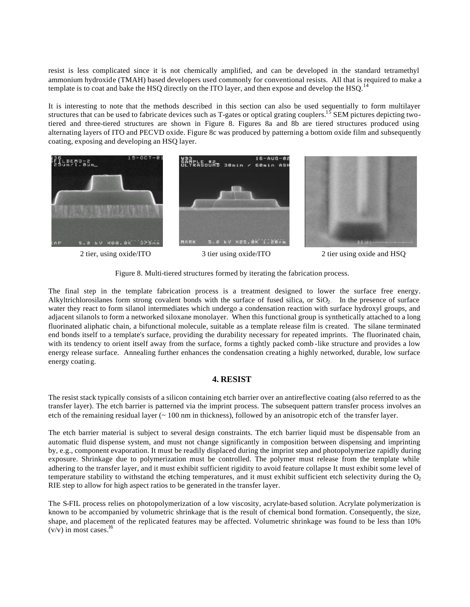resist is less complicated since it is not chemically amplified, and can be developed in the standard tetramethyl ammonium hydroxide (TMAH) based developers used commonly for conventional resists. All that is required to make a template is to coat and bake the HSQ directly on the ITO layer, and then expose and develop the HSQ.<sup>14</sup>

It is interesting to note that the methods described in this section can also be used sequentially to form multilayer structures that can be used to fabricate devices such as T-gates or optical grating couplers.<sup>15</sup> SEM pictures depicting twotiered and three-tiered structures are shown in Figure 8. Figures 8a and 8b are tiered structures produced using alternating layers of ITO and PECVD oxide. Figure 8c was produced by patterning a bottom oxide film and subsequently coating, exposing and developing an HSQ layer.



2 tier, using oxide/ITO 3 tier using oxide/ITO 2 tier using oxide and HSQ

Figure 8. Multi-tiered structures formed by iterating the fabrication process.

The final step in the template fabrication process is a treatment designed to lower the surface free energy. Alkyltrichlorosilanes form strong covalent bonds with the surface of fused silica, or  $SiO<sub>2</sub>$ . In the presence of surface water they react to form silanol intermediates which undergo a condensation reaction with surface hydroxyl groups, and adjacent silanols to form a networked siloxane monolayer. When this functional group is synthetically attached to a long fluorinated aliphatic chain, a bifunctional molecule, suitable as a template release film is created. The silane terminated end bonds itself to a template's surface, providing the durability necessary for repeated imprints. The fluorinated chain, with its tendency to orient itself away from the surface, forms a tightly packed comb-like structure and provides a low energy release surface. Annealing further enhances the condensation creating a highly networked, durable, low surface energy coating.

## **4. RESIST**

The resist stack typically consists of a silicon containing etch barrier over an antireflective coating (also referred to as the transfer layer). The etch barrier is patterned via the imprint process. The subsequent pattern transfer process involves an etch of the remaining residual layer (~ 100 nm in thickness), followed by an anisotropic etch of the transfer layer.

The etch barrier material is subject to several design constraints. The etch barrier liquid must be dispensable from an automatic fluid dispense system, and must not change significantly in composition between dispensing and imprinting by, e.g., component evaporation. It must be readily displaced during the imprint step and photopolymerize rapidly during exposure. Shrinkage due to polymerization must be controlled. The polymer must release from the template while adhering to the transfer layer, and it must exhibit sufficient rigidity to avoid feature collapse It must exhibit some level of temperature stability to withstand the etching temperatures, and it must exhibit sufficient etch selectivity during the  $O<sub>2</sub>$ RIE step to allow for high aspect ratios to be generated in the transfer layer.

The S-FIL process relies on photopolymerization of a low viscosity, acrylate-based solution. Acrylate polymerization is known to be accompanied by volumetric shrinkage that is the result of chemical bond formation. Consequently, the size, shape, and placement of the replicated features may be affected. Volumetric shrinkage was found to be less than 10%  $(v/v)$  in most cases.<sup>16</sup>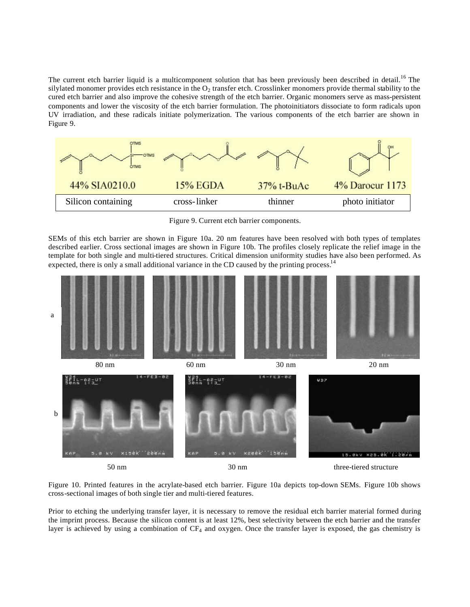The current etch barrier liquid is a multicomponent solution that has been previously been described in detail.<sup>16</sup> The silylated monomer provides etch resistance in the  $O_2$  transfer etch. Crosslinker monomers provide thermal stability to the cured etch barrier and also improve the cohesive strength of the etch barrier. Organic monomers serve as mass-persistent components and lower the viscosity of the etch barrier formulation. The photoinitiators dissociate to form radicals upon UV irradiation, and these radicals initiate polymerization. The various components of the etch barrier are shown in Figure 9.



Figure 9. Current etch barrier components.

SEMs of this etch barrier are shown in Figure 10a. 20 nm features have been resolved with both types of templates described earlier. Cross sectional images are shown in Figure 10b. The profiles closely replicate the relief image in the template for both single and multi-tiered structures. Critical dimension uniformity studies have also been performed. As expected, there is only a small additional variance in the CD caused by the printing process.<sup>14</sup>



Figure 10. Printed features in the acrylate-based etch barrier. Figure 10a depicts top-down SEMs. Figure 10b shows cross-sectional images of both single tier and multi-tiered features.

Prior to etching the underlying transfer layer, it is necessary to remove the residual etch barrier material formed during the imprint process. Because the silicon content is at least 12%, best selectivity between the etch barrier and the transfer layer is achieved by using a combination of CF4 and oxygen. Once the transfer layer is exposed, the gas chemistry is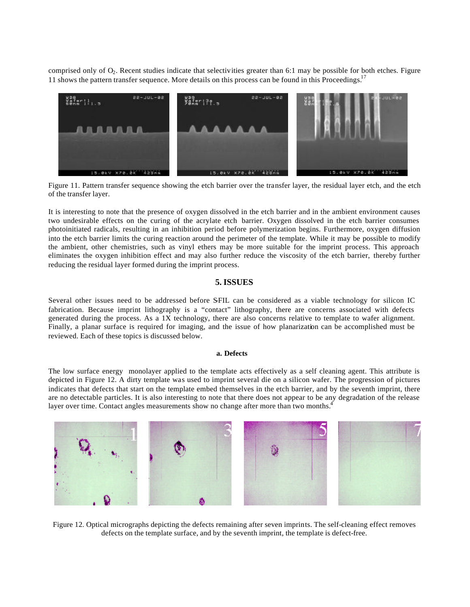comprised only of  $O_2$ . Recent studies indicate that selectivities greater than 6:1 may be possible for both etches. Figure 11 shows the pattern transfer sequence. More details on this process can be found in this Proceedings.<sup>17</sup>



Figure 11. Pattern transfer sequence showing the etch barrier over the transfer layer, the residual layer etch, and the etch of the transfer layer.

It is interesting to note that the presence of oxygen dissolved in the etch barrier and in the ambient environment causes two undesirable effects on the curing of the acrylate etch barrier. Oxygen dissolved in the etch barrier consumes photoinitiated radicals, resulting in an inhibition period before polymerization begins. Furthermore, oxygen diffusion into the etch barrier limits the curing reaction around the perimeter of the template. While it may be possible to modify the ambient, other chemistries, such as vinyl ethers may be more suitable for the imprint process. This approach eliminates the oxygen inhibition effect and may also further reduce the viscosity of the etch barrier, thereby further reducing the residual layer formed during the imprint process.

## **5. ISSUES**

Several other issues need to be addressed before SFIL can be considered as a viable technology for silicon IC fabrication. Because imprint lithography is a "contact" lithography, there are concerns associated with defects generated during the process. As a 1X technology, there are also concerns relative to template to wafer alignment. Finally, a planar surface is required for imaging, and the issue of how planarization can be accomplished must be reviewed. Each of these topics is discussed below.

## **a. Defects**

The low surface energy monolayer applied to the template acts effectively as a self cleaning agent. This attribute is depicted in Figure 12. A dirty template was used to imprint several die on a silicon wafer. The progression of pictures indicates that defects that start on the template embed themselves in the etch barrier, and by the seventh imprint, there are no detectable particles. It is also interesting to note that there does not appear to be any degradation of the release layer over time. Contact angles measurements show no change after more than two months.<sup>4</sup>



Figure 12. Optical micrographs depicting the defects remaining after seven imprints. The self-cleaning effect removes defects on the template surface, and by the seventh imprint, the template is defect-free.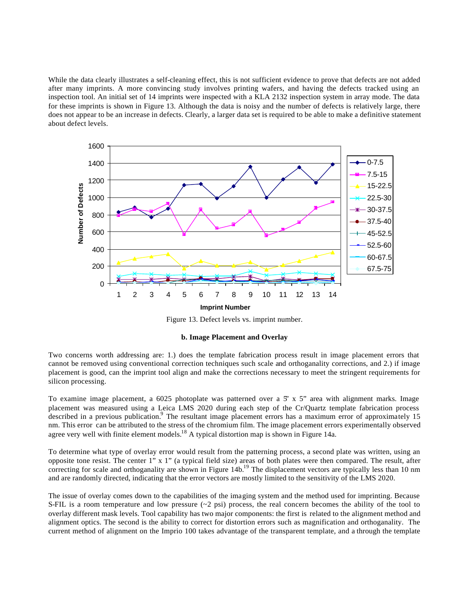While the data clearly illustrates a self-cleaning effect, this is not sufficient evidence to prove that defects are not added after many imprints. A more convincing study involves printing wafers, and having the defects tracked using an inspection tool. An initial set of 14 imprints were inspected with a KLA 2132 inspection system in array mode. The data for these imprints is shown in Figure 13. Although the data is noisy and the number of defects is relatively large, there does not appear to be an increase in defects. Clearly, a larger data set is required to be able to make a definitive statement about defect levels.



Figure 13. Defect levels vs. imprint number.

#### **b. Image Placement and Overlay**

Two concerns worth addressing are: 1.) does the template fabrication process result in image placement errors that cannot be removed using conventional correction techniques such scale and orthoganality corrections, and 2.) if image placement is good, can the imprint tool align and make the corrections necessary to meet the stringent requirements for silicon processing.

To examine image placement, a  $6025$  photoplate was patterned over a  $5' \times 5''$  area with alignment marks. Image placement was measured using a Leica LMS 2020 during each step of the Cr/Quartz template fabrication process described in a previous publication.<sup>9</sup> The resultant image placement errors has a maximum error of approximately 15 nm. This error can be attributed to the stress of the chromium film. The image placement errors experimentally observed agree very well with finite element models.<sup>18</sup> A typical distortion map is shown in Figure 14a.

To determine what type of overlay error would result from the patterning process, a second plate was written, using an opposite tone resist. The center  $1"$  x  $1"$  (a typical field size) areas of both plates were then compared. The result, after correcting for scale and orthoganality are shown in Figure 14b.<sup>19</sup> The displacement vectors are typically less than 10 nm and are randomly directed, indicating that the error vectors are mostly limited to the sensitivity of the LMS 2020.

The issue of overlay comes down to the capabilities of the imaging system and the method used for imprinting. Because S-FIL is a room temperature and low pressure  $(\sim 2 \text{ psi})$  process, the real concern becomes the ability of the tool to overlay different mask levels. Tool capability has two major components: the first is related to the alignment method and alignment optics. The second is the ability to correct for distortion errors such as magnification and orthoganality. The current method of alignment on the Imprio 100 takes advantage of the transparent template, and a through the template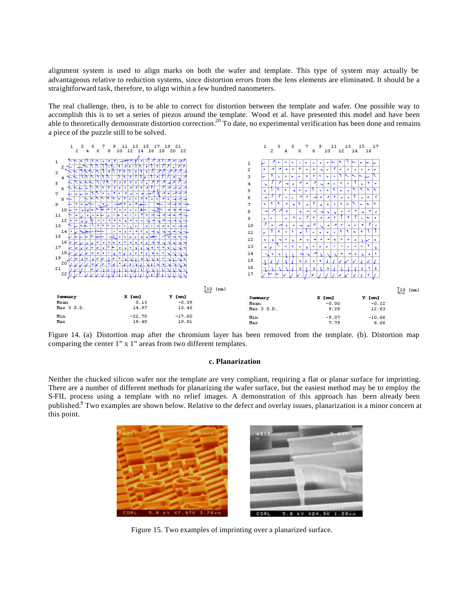alignment system is used to align marks on both the wafer and template. This type of system may actually be advantageous relative to reduction systems, since distortion errors from the lens elements are eliminated. It should be a straightforward task, therefore, to align within a few hundred nanometers.

The real challenge, then, is to be able to correct for distortion between the template and wafer. One possible way to accomplish this is to set a series of piezos around the template. Wood et al. have presented this model and have been able to theoretically demonstrate distortion correction.<sup>20</sup> To date, no experimental verification has been done and remains a piece of the puzzle still to be solved.



Figure 14. (a) Distortion map after the chromium layer has been removed from the template. (b). Distortion map comparing the center 1" x 1" areas from two different templates.

#### **c. Planarization**

Neither the chucked silicon wafer nor the template are very compliant, requiring a flat or planar surface for imprinting. There are a number of different methods for planarizing the wafer surface, but the easiest method may be to employ the S-FIL process using a template with no relief images. A demonstration of this approach has been already been published.<sup>9</sup> Two examples are shown below. Relative to the defect and overlay issues, planarization is a minor concern at this point.



Figure 15. Two examples of imprinting over a planarized surface.